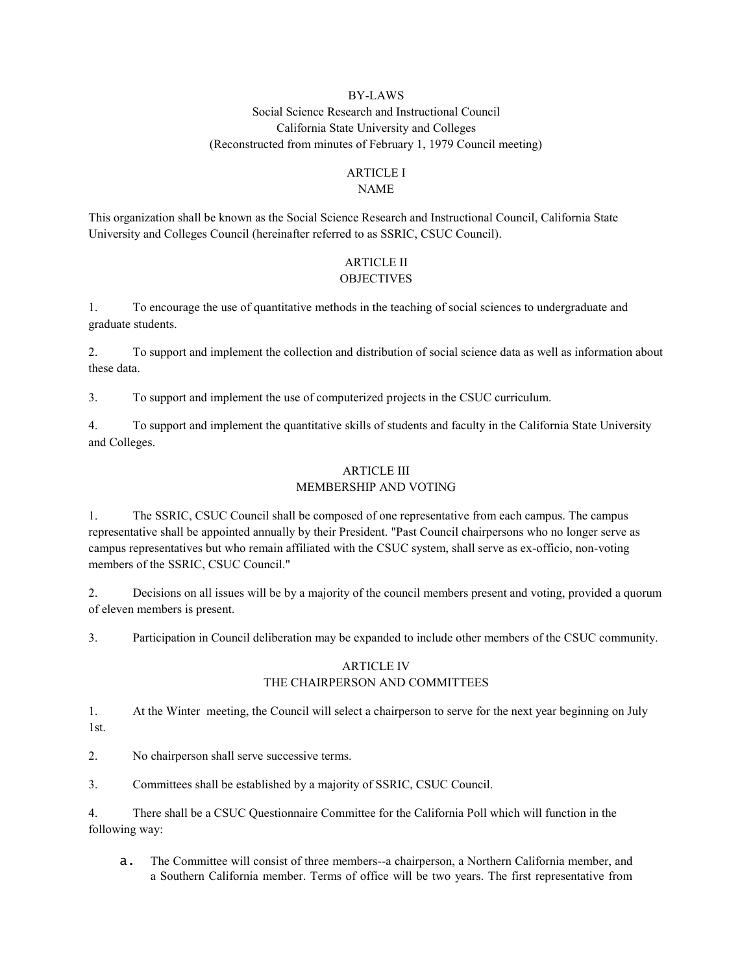# BY-LAWS Social Science Research and Instructional Council California State University and Colleges (Reconstructed from minutes of February 1, 1979 Council meeting)

# ARTICLE I

### NAME

This organization shall be known as the Social Science Research and Instructional Council, California State University and Colleges Council (hereinafter referred to as SSRIC, CSUC Council).

# ARTICLE II OBJECTIVES

1. To encourage the use of quantitative methods in the teaching of social sciences to undergraduate and graduate students.

2. To support and implement the collection and distribution of social science data as well as information about these data.

3. To support and implement the use of computerized projects in the CSUC curriculum.

4. To support and implement the quantitative skills of students and faculty in the California State University and Colleges.

### ARTICLE III MEMBERSHIP AND VOTING

1. The SSRIC, CSUC Council shall be composed of one representative from each campus. The campus representative shall be appointed annually by their President. "Past Council chairpersons who no longer serve as campus representatives but who remain affiliated with the CSUC system, shall serve as ex-officio, non-voting members of the SSRIC, CSUC Council."

2. Decisions on all issues will be by a majority of the council members present and voting, provided a quorum of eleven members is present.

3. Participation in Council deliberation may be expanded to include other members of the CSUC community.

### ARTICLE IV THE CHAIRPERSON AND COMMITTEES

1. At the Winter meeting, the Council will select a chairperson to serve for the next year beginning on July 1st.

2. No chairperson shall serve successive terms.

3. Committees shall be established by a majority of SSRIC, CSUC Council.

4. There shall be a CSUC Questionnaire Committee for the California Poll which will function in the following way:

a. The Committee will consist of three members--a chairperson, a Northern California member, and a Southern California member. Terms of office will be two years. The first representative from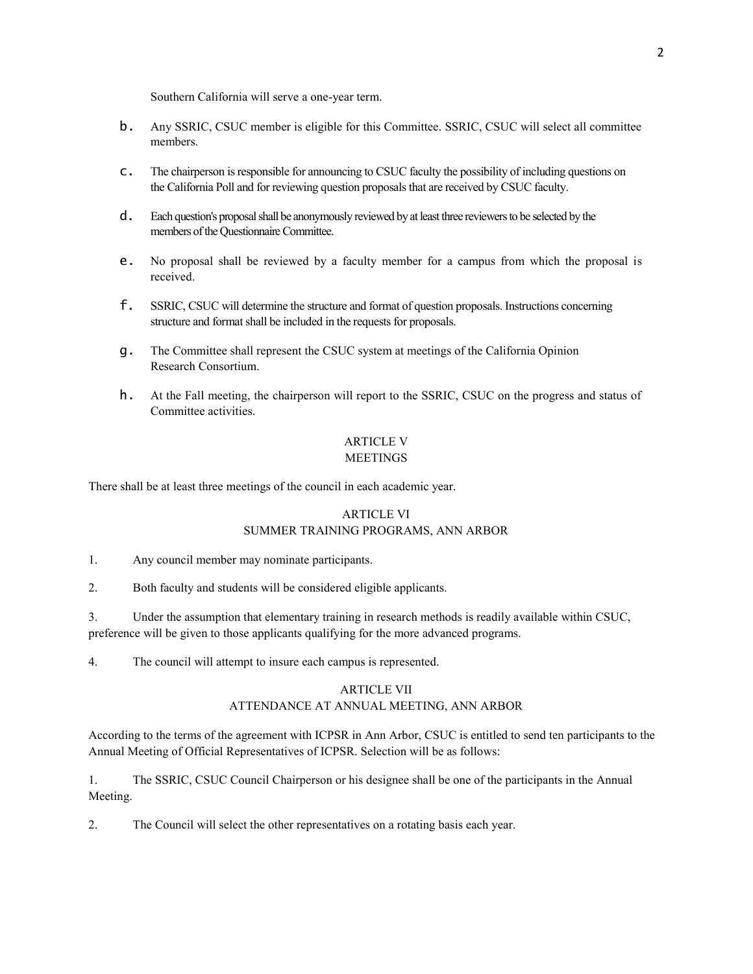Southern California will serve a one-year term.

- b. Any SSRIC, CSUC member is eligible for this Committee. SSRIC, CSUC will select all committee members.
- c. The chairperson is responsible for announcing to CSUC faculty the possibility of including questions on the California Poll and for reviewing question proposals that are received by CSUC faculty.
- d. Each question's proposal shall be anonymously reviewed by at least three reviewers to be selected by the members of the Questionnaire Committee.
- e. No proposal shall be reviewed by a faculty member for a campus from which the proposal is received.
- f. SSRIC, CSUC will determine the structure and format of question proposals. Instructions concerning structure and format shall be included in the requests for proposals.
- g. The Committee shall represent the CSUC system at meetings of the California Opinion Research Consortium.
- h. At the Fall meeting, the chairperson will report to the SSRIC, CSUC on the progress and status of Committee activities.

#### ARTICLE V MEETINGS

There shall be at least three meetings of the council in each academic year.

## ARTICLE VI SUMMER TRAINING PROGRAMS, ANN ARBOR

1. Any council member may nominate participants.

2. Both faculty and students will be considered eligible applicants.

3. Under the assumption that elementary training in research methods is readily available within CSUC, preference will be given to those applicants qualifying for the more advanced programs.

4. The council will attempt to insure each campus is represented.

### ARTICLE VII ATTENDANCE AT ANNUAL MEETING, ANN ARBOR

According to the terms of the agreement with ICPSR in Ann Arbor, CSUC is entitled to send ten participants to the Annual Meeting of Official Representatives of ICPSR. Selection will be as follows:

1. The SSRIC, CSUC Council Chairperson or his designee shall be one of the participants in the Annual Meeting.

2. The Council will select the other representatives on a rotating basis each year.